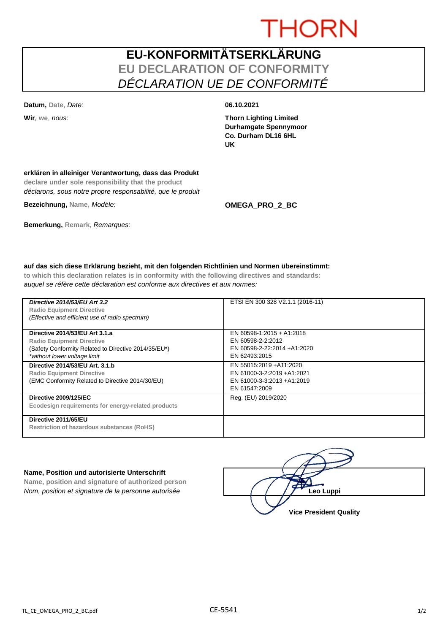# **THORN**

### **EU-KONFORMITÄTSERKLÄRUNG EU DECLARATION OF CONFORMITY** *DÉCLARATION UE DE CONFORMITÉ*

**Datum, Date,** *Date:* **06.10.2021**

**Wir**, **we**, *nous:* **Thorn Lighting Limited Durhamgate Spennymoor Co. Durham DL16 6HL UK**

#### **erklären in alleiniger Verantwortung, dass das Produkt**

**declare under sole responsibility that the product** *déclarons, sous notre propre responsabilité, que le produit*

**Bezeichnung, Name,** *Modèle:* **OMEGA\_PRO\_2\_BC**

**Bemerkung, Remark,** *Remarques:*

#### **auf das sich diese Erklärung bezieht, mit den folgenden Richtlinien und Normen übereinstimmt:**

**to which this declaration relates is in conformity with the following directives and standards:** *auquel se réfère cette déclaration est conforme aux directives et aux normes:*

| Directive 2014/53/EU Art 3.2<br><b>Radio Equipment Directive</b><br>(Effective and efficient use of radio spectrum)                                        | ETSI EN 300 328 V2.1.1 (2016-11)                                                                     |
|------------------------------------------------------------------------------------------------------------------------------------------------------------|------------------------------------------------------------------------------------------------------|
| Directive 2014/53/EU Art 3.1.a<br><b>Radio Equipment Directive</b><br>(Safety Conformity Related to Directive 2014/35/EU*)<br>*without lower voltage limit | EN 60598-1:2015 + A1:2018<br>EN 60598-2-2:2012<br>EN 60598-2-22:2014 +A1:2020<br>EN 62493:2015       |
| Directive 2014/53/EU Art. 3.1.b<br><b>Radio Equipment Directive</b><br>(EMC Conformity Related to Directive 2014/30/EU)                                    | EN 55015:2019 +A11:2020<br>EN 61000-3-2:2019 +A1:2021<br>EN 61000-3-3:2013 +A1:2019<br>EN 61547:2009 |
| <b>Directive 2009/125/EC</b><br>Ecodesign requirements for energy-related products                                                                         | Reg. (EU) 2019/2020                                                                                  |
| Directive 2011/65/EU<br><b>Restriction of hazardous substances (RoHS)</b>                                                                                  |                                                                                                      |

#### **Name, Position und autorisierte Unterschrift**

**Name, position and signature of authorized person** *Nom, position et signature de la personne autorisée*  $\left(\begin{array}{cc} \end{array}\right)$  /  $\left(\begin{array}{cc} \end{array}\right)$  **Leo Luppi** 

**Vice President Quality**